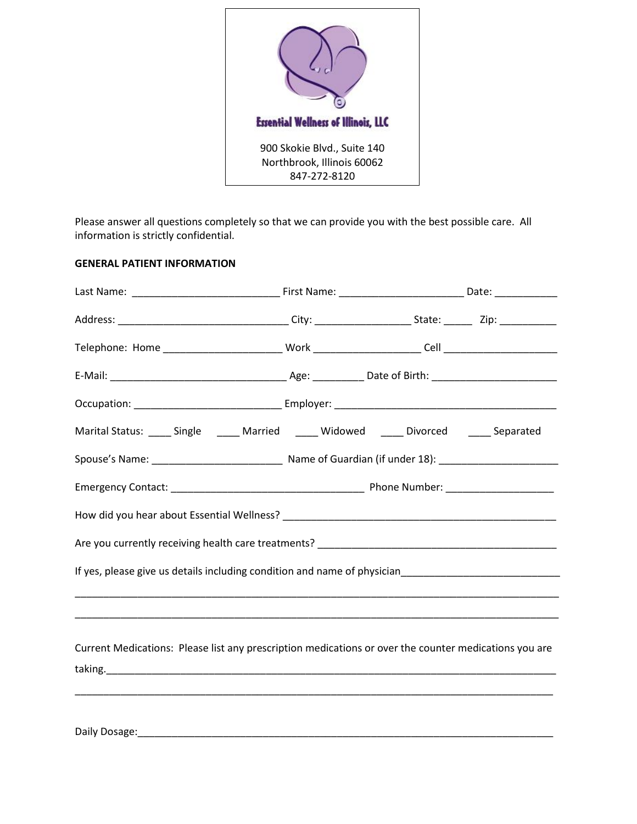

Please answer all questions completely so that we can provide you with the best possible care. All information is strictly confidential.

## **GENERAL PATIENT INFORMATION**

| Marital Status: _____ Single ______ Married _____ Widowed _____ Divorced ______ Separated             |  |  |  |  |  |  |  |  |
|-------------------------------------------------------------------------------------------------------|--|--|--|--|--|--|--|--|
|                                                                                                       |  |  |  |  |  |  |  |  |
|                                                                                                       |  |  |  |  |  |  |  |  |
|                                                                                                       |  |  |  |  |  |  |  |  |
|                                                                                                       |  |  |  |  |  |  |  |  |
|                                                                                                       |  |  |  |  |  |  |  |  |
|                                                                                                       |  |  |  |  |  |  |  |  |
|                                                                                                       |  |  |  |  |  |  |  |  |
| Current Medications: Please list any prescription medications or over the counter medications you are |  |  |  |  |  |  |  |  |
|                                                                                                       |  |  |  |  |  |  |  |  |
|                                                                                                       |  |  |  |  |  |  |  |  |

Daily Dosage:\_\_\_\_\_\_\_\_\_\_\_\_\_\_\_\_\_\_\_\_\_\_\_\_\_\_\_\_\_\_\_\_\_\_\_\_\_\_\_\_\_\_\_\_\_\_\_\_\_\_\_\_\_\_\_\_\_\_\_\_\_\_\_\_\_\_\_\_\_\_\_\_\_